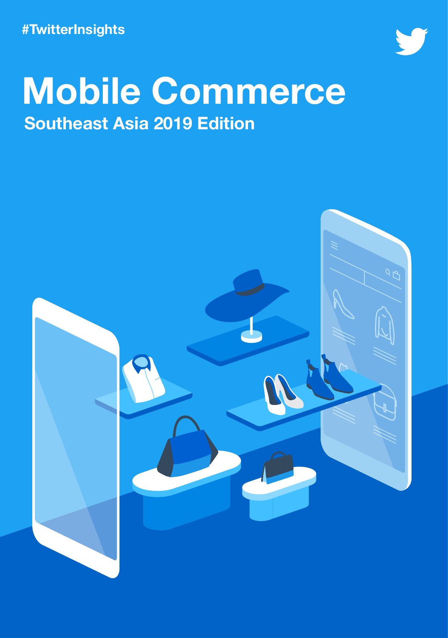**#TwitterInsights**



## **Mobile Commerce Southeast Asia 2019 Edition**

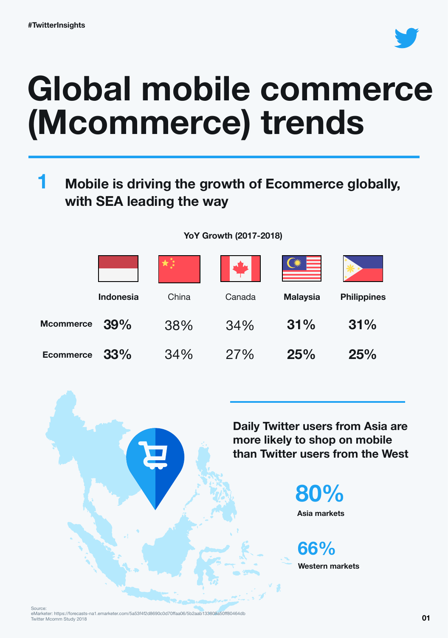

# **Global mobile commerce (Mcommerce) trends**

#### **Mobile is driving the growth of Ecommerce globally, with SEA leading the way 1**

**YoY Growth (2017-2018)**

|                  | <b>Indonesia</b> | China | Canada | <b>Malaysia</b> | <b>Philippines</b> |
|------------------|------------------|-------|--------|-----------------|--------------------|
| <b>Mcommerce</b> | 39%              | 38%   | 34%    | 31%             | 31%                |
| <b>Ecommerce</b> | 33%              | 34%   | 27%    | 25%             | 25%                |

**Daily Twitter users from Asia are more likely to shop on mobile than Twitter users from the West**



**Western markets 66%**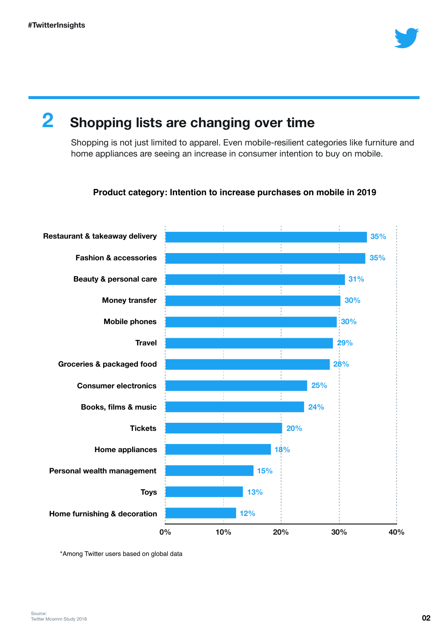

### **2 Shopping lists are changing over time**

Shopping is not just limited to apparel. Even mobile-resilient categories like furniture and home appliances are seeing an increase in consumer intention to buy on mobile.

#### **Product category: Intention to increase purchases on mobile in 2019**



\*Among Twitter users based on global data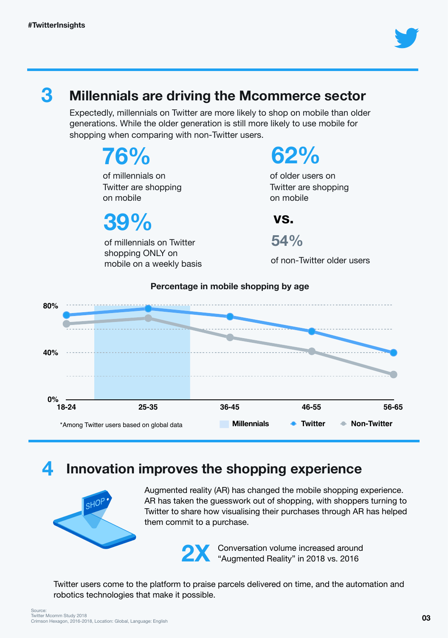

### **3 Millennials are driving the Mcommerce sector**

Expectedly, millennials on Twitter are more likely to shop on mobile than older generations. While the older generation is still more likely to use mobile for shopping when comparing with non-Twitter users.

> **76%** of millennials on Twitter are shopping on mobile

**39%**

of millennials on Twitter shopping ONLY on mobile on a weekly basis **62%**

of older users on Twitter are shopping on mobile

**vs.**

**54%**

of non-Twitter older users



#### **Percentage in mobile shopping by age**

### **4 Innovation improves the shopping experience**



Augmented reality (AR) has changed the mobile shopping experience. AR has taken the guesswork out of shopping, with shoppers turning to Twitter to share how visualising their purchases through AR has helped them commit to a purchase.

**2X** Conversation volume increased around "Augmented Reality" in 2018 vs. 2016

Twitter users come to the platform to praise parcels delivered on time, and the automation and robotics technologies that make it possible.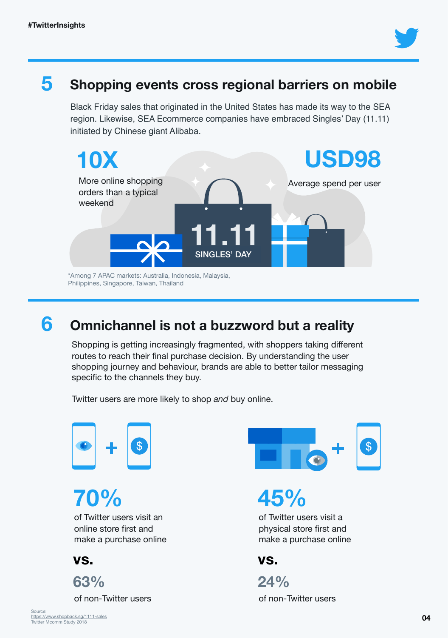

#### **5 Shopping events cross regional barriers on mobile**

Black Friday sales that originated in the United States has made its way to the SEA region. Likewise, SEA Ecommerce companies have embraced Singles' Day (11.11) initiated by Chinese giant Alibaba.



Philippines, Singapore, Taiwan, Thailand

### **6 Omnichannel is not a buzzword but a reality**

Shopping is getting increasingly fragmented, with shoppers taking different routes to reach their final purchase decision. By understanding the user shopping journey and behaviour, brands are able to better tailor messaging specific to the channels they buy.

Twitter users are more likely to shop *and* buy online.



**70%** of Twitter users visit an online store first and make a purchase online

**vs.**



of non-Twitter users



**45%**

of Twitter users visit a physical store first and make a purchase online

**vs.**

of non-Twitter users **24%**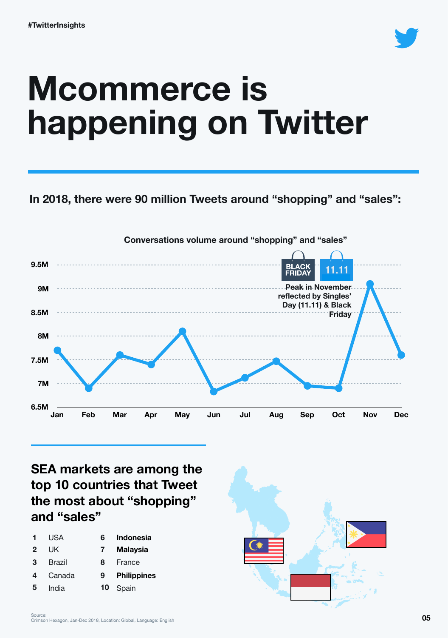

# **Mcommerce is happening on Twitter**

### **In 2018, there were 90 million Tweets around "shopping" and "sales":**



**SEA markets are among the top 10 countries that Tweet the most about "shopping" and "sales"**

|                | USA    | 6  | <b>Indonesia</b>   |
|----------------|--------|----|--------------------|
| $\overline{2}$ | UK     | 7  | <b>Malaysia</b>    |
| 3              | Brazil | 8  | France             |
| 4              | Canada | 9  | <b>Philippines</b> |
| 5              | India  | 10 | Spain              |

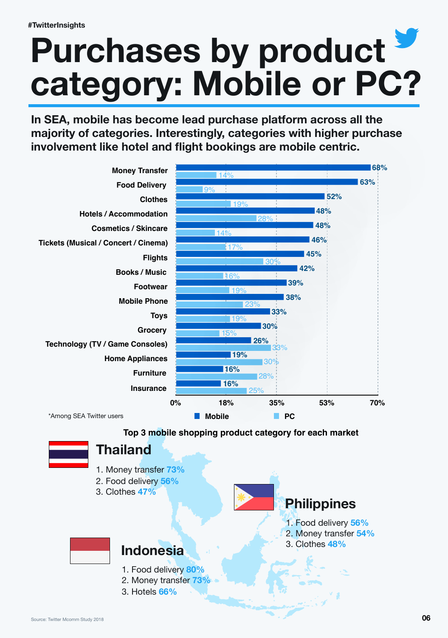# **Purchases by product category: Mobile or PC?**

**In SEA, mobile has become lead purchase platform across all the majority of categories. Interestingly, categories with higher purchase involvement like hotel and flight bookings are mobile centric.** 



#### **Top 3 mobile shopping product category for each market**



### **Thailand**

- 1. Money transfer **73%**
- 2. Food delivery **56%**
- 3. Clothes **47%**



- 1. Food delivery **56%**
- 2. Money transfer **54%**
- 3. Clothes **48%**



#### **Indonesia**

- 1. Food delivery **80%**
- 2. Money transfer **73%**
- 3. Hotels **66%**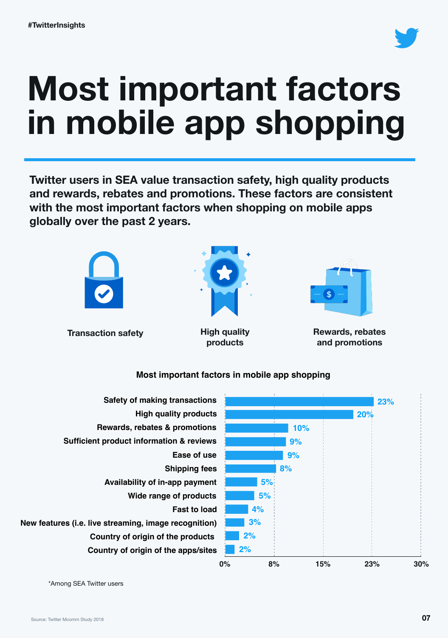

# **Most important factors in mobile app shopping**

**Twitter users in SEA value transaction safety, high quality products and rewards, rebates and promotions. These factors are consistent with the most important factors when shopping on mobile apps globally over the past 2 years.**



**Transaction safety Rewards, rebates Rewards, rebates** 



**High quality products**



**and promotions**

| <b>Safety of making transactions</b>                  |    |    |     |     | 23% |
|-------------------------------------------------------|----|----|-----|-----|-----|
| <b>High quality products</b>                          |    |    |     | 20% |     |
| Rewards, rebates & promotions                         |    |    | 10% |     |     |
| <b>Sufficient product information &amp; reviews</b>   |    |    | 9%  |     |     |
| Ease of use                                           |    |    | 9%  |     |     |
| <b>Shipping fees</b>                                  |    |    | 8%  |     |     |
| Availability of in-app payment                        |    | 5% |     |     |     |
| Wide range of products                                |    | 5% |     |     |     |
| <b>Fast to load</b>                                   |    | 4% |     |     |     |
| New features (i.e. live streaming, image recognition) |    | 3% |     |     |     |
| Country of origin of the products                     | 2% |    |     |     |     |
| Country of origin of the apps/sites                   | 2% |    |     |     |     |
|                                                       | 0% | 8% | 15% | 23% | 30% |

#### **Most important factors in mobile app shopping**

\*Among SEA Twitter users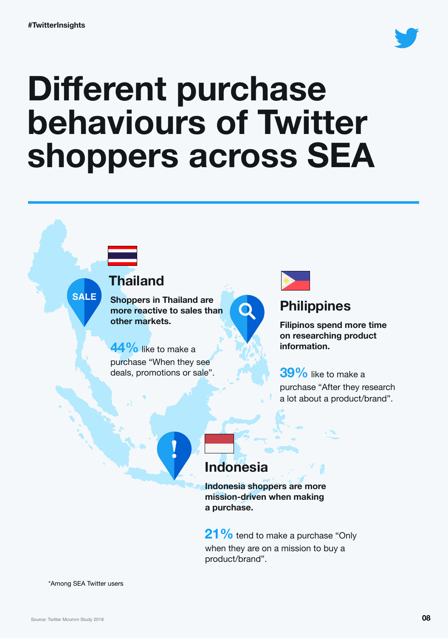

# **Different purchase behaviours of Twitter shoppers across SEA**



### **Indonesia**

**Indonesia shoppers are more mission-driven when making a purchase.** 

**21%** tend to make a purchase "Only when they are on a mission to buy a product/brand".

\*Among SEA Twitter users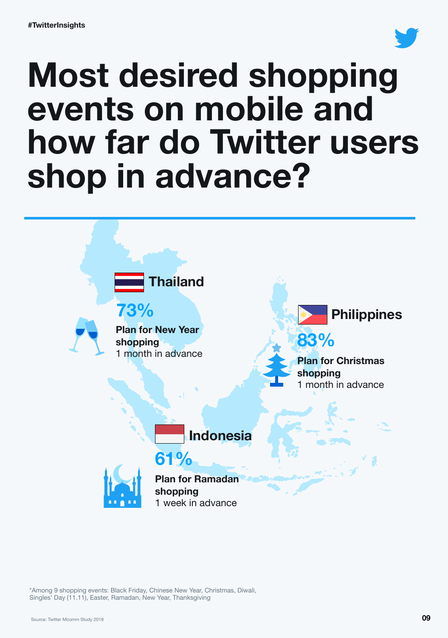

# **Most desired shopping events on mobile and how far do Twitter users shop in advance?**



\*Among 9 shopping events: Black Friday, Chinese New Year, Christmas, Diwali, Singles' Day (11.11), Easter, Ramadan, New Year, Thanksgiving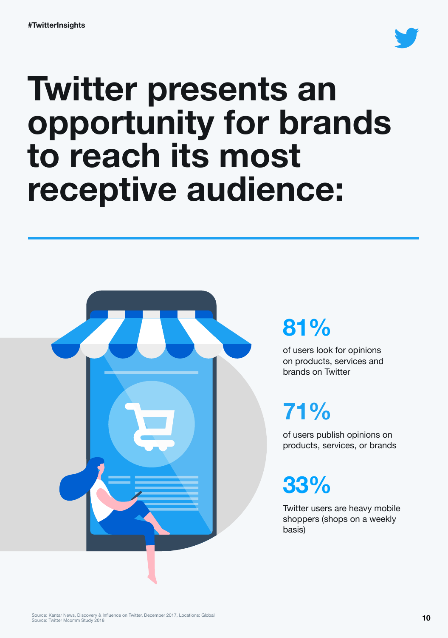

# **Twitter presents an opportunity for brands to reach its most receptive audience:**



### **81%**

of users look for opinions on products, services and brands on Twitter

### **71%**

of users publish opinions on products, services, or brands

**33%**

Twitter users are heavy mobile shoppers (shops on a weekly basis)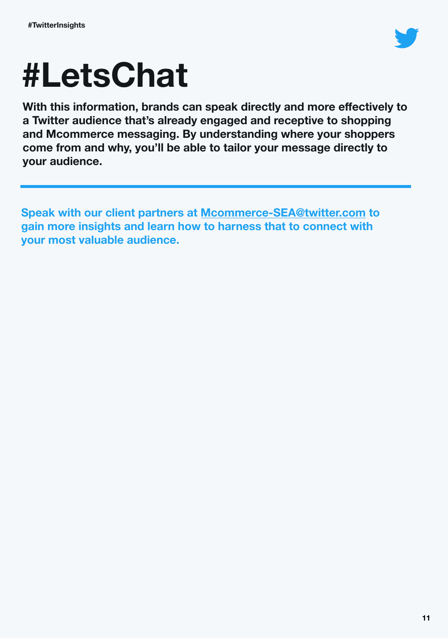

# **#LetsChat**

**With this information, brands can speak directly and more effectively to a Twitter audience that's already engaged and receptive to shopping and Mcommerce messaging. By understanding where your shoppers come from and why, you'll be able to tailor your message directly to your audience.** 

**Speak with our client partners at [Mcommerce-SEA@twitter.com](mailto:commerce-SEA@twitter.com) to gain more insights and learn how to harness that to connect with your most valuable audience.**